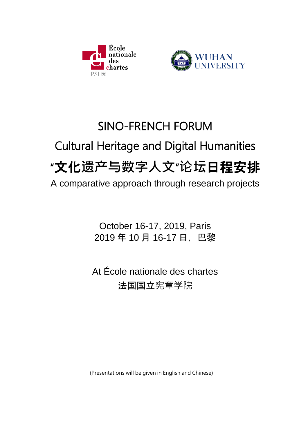



# SINO-FRENCH FORUM Cultural Heritage and Digital Humanities "文化**遗产与数字人文**"**论坛**日程安排 A comparative approach through research projects

October 16-17, 2019, Paris 2019 年 10 月 16-17 日,巴黎

At École nationale des chartes 法国国立宪章学院

(Presentations will be given in English and Chinese)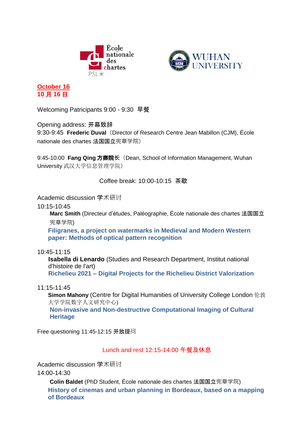



**October 16 10** 月 **16** 日

Welcoming Patricipants 9:00 - 9:30 早餐

Opening address: 开幕致辞

9:30-9:45 **Frederic Duval**(Director of Research Centre Jean Mabillon (CJM), École nationale des chartes 法国国立宪章学院)

9:45-10:00 **Fang Qing** 方卿院**长**(Dean, School of Information Management, Wuhan University 武汉大学信息管理学院)

Coffee break: 10:00-10:15 茶歇

Academic discussion 学术研讨

10:15-10:45

**Marc Smith** (Directeur d'études, Paléographie, École nationale des chartes 法国国立 宪章学院)

**Filigranes, a project on watermarks in Medieval and Modern Western paper: Methods of optical pattern recognition**

10:45-11:15

**Isabella di Lenardo** (Studies and Research Department, Institut national d'histoire de l'art) **Richelieu 2021 – Digital Projects for the Richelieu District Valorization**

11:15-11:45

**Simon Mahony** [\(Centre for Digital Humanities](http://www.ucl.ac.uk/dh) of University College London 伦敦 大学学院数字人文研究中心)

**Non-invasive and Non-destructive Computational Imaging of Cultural Heritage**

Free questioning 11:45-12:15 开放提问

Lunch and rest 12:15-14:00 午餐及休息

Academic discussion 学术研讨

14:00-14:30

**Colin Baldet** (PhD Student, École nationale des chartes 法国国立宪章学院) **History of cinemas and urban planning in Bordeaux, based on a mapping of Bordeaux**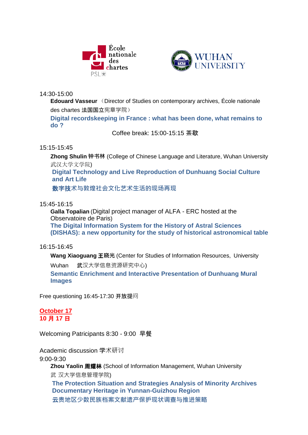



14:30-15:00

**Edouard Vasseur** (Director of Studies on contemporary archives, École nationale des chartes 法国国立宪章学院)

**Digital recordskeeping in France : what has been done, what remains to do ?**

Coffee break: 15:00-15:15 茶歇

## 15:15-15:45

**Zhong Shulin 钟书林** (College of Chinese Language and Literature, Wuhan University 武汉大学文学院)

**Digital Technology and Live Reproduction of Dunhuang Social Culture and Art Life**

数字技**术与敦煌社会文化艺术生活的现场再现**

## 15:45-16:15

**Galla Topalian** (Digital project manager of ALFA - ERC hosted at the Observatoire de Paris) **The Digital Information System for the History of Astral Sciences (DISHAS): a new opportunity for the study of historical astronomical table**

## 16:15-16:45

**Wang Xiaoguang** 王**晓光** (Center for Studies of Information Resources, University

Wuhan 武汉大学信息资源研究中心)

**Semantic Enrichment and Interactive Presentation of Dunhuang Mural Images**

Free questioning 16:45-17:30 开放提问

## **October 17 10** 月 **17** 日

Welcoming Patricipants 8:30 - 9:00 早餐

Academic discussion 学术研讨

9:00-9:30

**Zhou Yaolin** 周耀林 (School of Information Management, Wuhan University

武 汉大学信息管理学院)

**The Protection Situation and Strategies Analysis of Minority Archives Documentary Heritage in Yunnan-Guizhou Region** 云**贵地区少数民族档案文献遗产保护现状调查与推进策略**